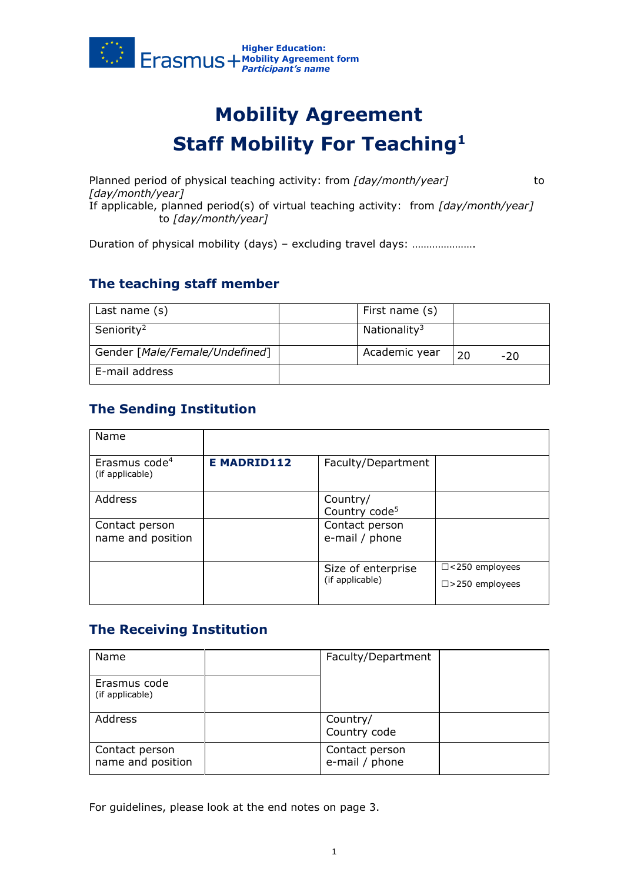

# **Mobility Agreement Staff Mobility For Teaching<sup>1</sup>**

Planned period of physical teaching activity: from *[day/month/year]* to *[day/month/year]*  If applicable, planned period(s) of virtual teaching activity: from *[day/month/year]* to *[day/month/year]*

Duration of physical mobility (days) – excluding travel days: ………………………

### **The teaching staff member**

| Last name $(s)$                | First name (s)           |    |     |
|--------------------------------|--------------------------|----|-----|
| Seniority <sup>2</sup>         | Nationality <sup>3</sup> |    |     |
| Gender [Male/Female/Undefined] | Academic year            | 20 | -20 |
| E-mail address                 |                          |    |     |

## **The Sending Institution**

| Name                                         |                   |                                       |                                                    |
|----------------------------------------------|-------------------|---------------------------------------|----------------------------------------------------|
| Erasmus code <sup>4</sup><br>(if applicable) | <b>EMADRID112</b> | Faculty/Department                    |                                                    |
| Address                                      |                   | Country/<br>Country code <sup>5</sup> |                                                    |
| Contact person<br>name and position          |                   | Contact person<br>e-mail / phone      |                                                    |
|                                              |                   | Size of enterprise<br>(if applicable) | $\Box$ <250 employees<br>$\square$ > 250 employees |

### **The Receiving Institution**

| Name                                | Faculty/Department               |  |
|-------------------------------------|----------------------------------|--|
| Erasmus code<br>(if applicable)     |                                  |  |
| Address                             | Country/<br>Country code         |  |
| Contact person<br>name and position | Contact person<br>e-mail / phone |  |

For guidelines, please look at the end notes on page 3.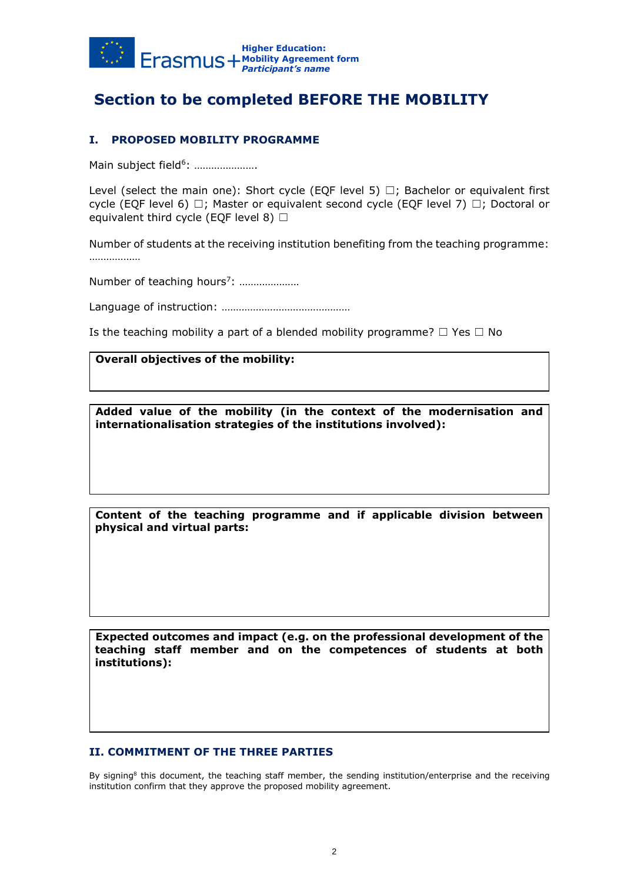

# **Section to be completed BEFORE THE MOBILITY**

### **I. PROPOSED MOBILITY PROGRAMME**

Main subject field<sup>6</sup>: .....................

Level (select the main one): Short cycle (EQF level 5)  $\Box$ ; Bachelor or equivalent first cycle (EQF level 6)  $\Box$ ; Master or equivalent second cycle (EQF level 7)  $\Box$ ; Doctoral or equivalent third cycle (EQF level 8)  $\Box$ 

Number of students at the receiving institution benefiting from the teaching programme: ………………

Number of teaching hours<sup>7</sup>: .....................

Language of instruction: ………………………………………

Is the teaching mobility a part of a blended mobility programme?  $\Box$  Yes  $\Box$  No

#### **Overall objectives of the mobility:**

**Added value of the mobility (in the context of the modernisation and internationalisation strategies of the institutions involved):**

**Content of the teaching programme and if applicable division between physical and virtual parts:**

**Expected outcomes and impact (e.g. on the professional development of the teaching staff member and on the competences of students at both institutions):**

#### **II. COMMITMENT OF THE THREE PARTIES**

By signing<sup>8</sup> this document, the teaching staff member, the sending institution/enterprise and the receiving institution confirm that they approve the proposed mobility agreement.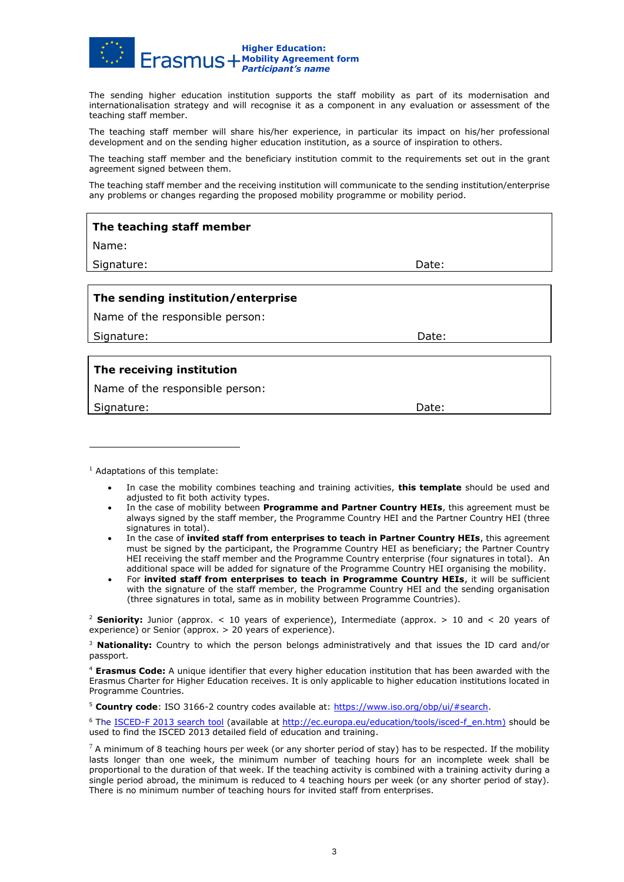

The sending higher education institution supports the staff mobility as part of its modernisation and internationalisation strategy and will recognise it as a component in any evaluation or assessment of the teaching staff member.

The teaching staff member will share his/her experience, in particular its impact on his/her professional development and on the sending higher education institution, as a source of inspiration to others.

The teaching staff member and the beneficiary institution commit to the requirements set out in the grant agreement signed between them.

The teaching staff member and the receiving institution will communicate to the sending institution/enterprise any problems or changes regarding the proposed mobility programme or mobility period.

| The teaching staff member          |       |  |
|------------------------------------|-------|--|
| Name:                              |       |  |
| Signature:                         | Date: |  |
|                                    |       |  |
| The sending institution/enterprise |       |  |
| Name of the responsible person:    |       |  |
| Signature:                         | Date: |  |
|                                    |       |  |
| The receiving institution          |       |  |
| Namo of the responsible person:    |       |  |

Name of the responsible person:

Signature: **Date:** Date: **Date:** Date: **Date:** Date: **Date:** Date: **Date:** 2014

 $<sup>1</sup>$  Adaptations of this template:</sup>

- In case the mobility combines teaching and training activities, **this template** should be used and adjusted to fit both activity types.
- In the case of mobility between **Programme and Partner Country HEIs**, this agreement must be always signed by the staff member, the Programme Country HEI and the Partner Country HEI (three signatures in total).
- In the case of **invited staff from enterprises to teach in Partner Country HEIs**, this agreement must be signed by the participant, the Programme Country HEI as beneficiary; the Partner Country HEI receiving the staff member and the Programme Country enterprise (four signatures in total). An additional space will be added for signature of the Programme Country HEI organising the mobility.
- For **invited staff from enterprises to teach in Programme Country HEIs**, it will be sufficient with the signature of the staff member, the Programme Country HEI and the sending organisation (three signatures in total, same as in mobility between Programme Countries).

<sup>2</sup> **Seniority:** Junior (approx. < 10 years of experience), Intermediate (approx. > 10 and < 20 years of experience) or Senior (approx. > 20 years of experience).

<sup>3</sup> **Nationality:** Country to which the person belongs administratively and that issues the ID card and/or passport.

<sup>4</sup> **Erasmus Code:** A unique identifier that every higher education institution that has been awarded with the Erasmus Charter for Higher Education receives. It is only applicable to higher education institutions located in Programme Countries.

<sup>5</sup> **Country code**: ISO 3166-2 country codes available at: [https://www.iso.org/obp/ui/#search.](https://www.iso.org/obp/ui/#search)

<sup>6</sup> The [ISCED-F 2013 search tool](http://ec.europa.eu/education/tools/isced-f_en.htm) (available at [http://ec.europa.eu/education/tools/isced-f\\_en.htm\)](http://ec.europa.eu/education/tools/isced-f_en.htm) should be used to find the ISCED 2013 detailed field of education and training.

 $7$  A minimum of 8 teaching hours per week (or any shorter period of stay) has to be respected. If the mobility lasts longer than one week, the minimum number of teaching hours for an incomplete week shall be proportional to the duration of that week. If the teaching activity is combined with a training activity during a single period abroad, the minimum is reduced to 4 teaching hours per week (or any shorter period of stay). There is no minimum number of teaching hours for invited staff from enterprises.